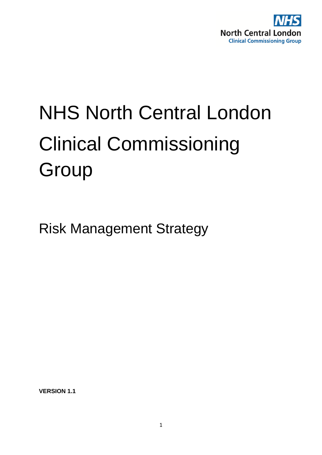

# NHS North Central London Clinical Commissioning **Group**

Risk Management Strategy

**VERSION 1.1**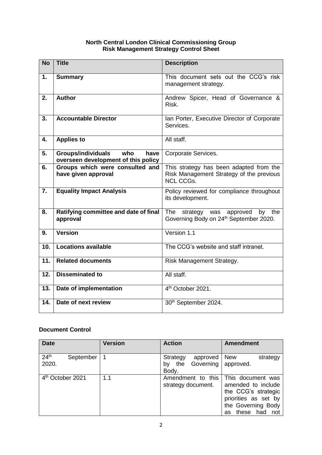## **North Central London Clinical Commissioning Group Risk Management Strategy Control Sheet**

| <b>No</b>        | <b>Title</b>                                                                    | <b>Description</b>                                                                                      |
|------------------|---------------------------------------------------------------------------------|---------------------------------------------------------------------------------------------------------|
| 1.               | <b>Summary</b>                                                                  | This document sets out the CCG's risk<br>management strategy.                                           |
| 2.               | <b>Author</b>                                                                   | Andrew Spicer, Head of Governance &<br>Risk.                                                            |
| 3.               | <b>Accountable Director</b>                                                     | Ian Porter, Executive Director of Corporate<br>Services.                                                |
| 4.               | <b>Applies to</b>                                                               | All staff.                                                                                              |
| 5.               | <b>Groups/individuals</b><br>who<br>have<br>overseen development of this policy | Corporate Services.                                                                                     |
| 6.               | Groups which were consulted and<br>have given approval                          | This strategy has been adapted from the<br>Risk Management Strategy of the previous<br><b>NCL CCGs.</b> |
| $\overline{7}$ . | <b>Equality Impact Analysis</b>                                                 | Policy reviewed for compliance throughout<br>its development.                                           |
| 8.               | Ratifying committee and date of final<br>approval                               | The<br>by the<br>strategy was<br>approved<br>Governing Body on 24th September 2020.                     |
| 9.               | <b>Version</b>                                                                  | Version 1.1                                                                                             |
| 10.              | <b>Locations available</b>                                                      | The CCG's website and staff intranet.                                                                   |
| 11.              | <b>Related documents</b>                                                        | Risk Management Strategy.                                                                               |
| 12.              | <b>Disseminated to</b>                                                          | All staff.                                                                                              |
| 13.              | Date of implementation                                                          | 4 <sup>th</sup> October 2021.                                                                           |
| 14.              | Date of next review                                                             | 30th September 2024.                                                                                    |

# **Document Control**

| <b>Date</b>                            | <b>Version</b> | <b>Action</b>                                           | <b>Amendment</b>                                                                                                                    |
|----------------------------------------|----------------|---------------------------------------------------------|-------------------------------------------------------------------------------------------------------------------------------------|
| 24 <sup>th</sup><br>September<br>2020. |                | Strategy<br>approved<br>Governing<br>the<br>bv<br>Body. | <b>New</b><br>strategy<br>approved.                                                                                                 |
| 4 <sup>th</sup> October 2021           | 1.1            | Amendment to this<br>strategy document.                 | This document was<br>amended to include<br>the CCG's strategic<br>priorities as set by<br>the Governing Body<br>these had not<br>as |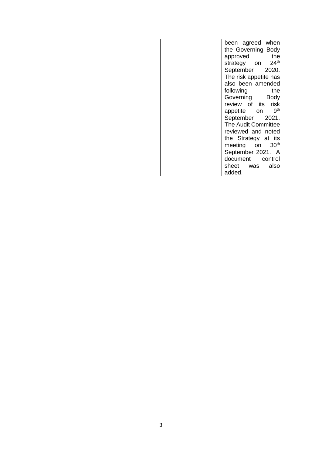|  | been agreed when                |
|--|---------------------------------|
|  | the Governing Body              |
|  | the<br>approved                 |
|  | 24 <sup>th</sup><br>strategy on |
|  | September<br>2020.              |
|  | The risk appetite has           |
|  | also been amended               |
|  | following<br>the                |
|  | Governing<br><b>Body</b>        |
|  | risk<br>review of its           |
|  | 9 <sup>th</sup><br>appetite on  |
|  | September<br>2021.              |
|  | The Audit Committee             |
|  | reviewed and noted              |
|  | the Strategy at its             |
|  | 30 <sup>th</sup><br>meeting on  |
|  | September 2021. A               |
|  | document<br>control             |
|  | also<br>sheet<br>was            |
|  | added.                          |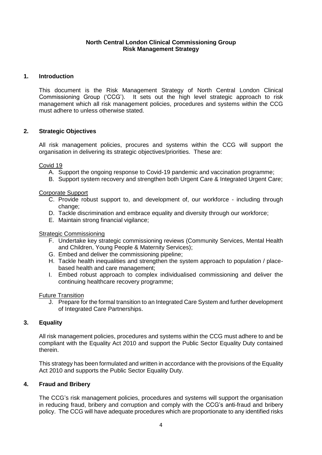## **North Central London Clinical Commissioning Group Risk Management Strategy**

## **1. Introduction**

This document is the Risk Management Strategy of North Central London Clinical Commissioning Group ('CCG'). It sets out the high level strategic approach to risk management which all risk management policies, procedures and systems within the CCG must adhere to unless otherwise stated.

## **2. Strategic Objectives**

All risk management policies, procures and systems within the CCG will support the organisation in delivering its strategic objectives/priorities. These are:

Covid 19

- A. Support the ongoing response to Covid-19 pandemic and vaccination programme;
- B. Support system recovery and strengthen both Urgent Care & Integrated Urgent Care;

## Corporate Support

- C. Provide robust support to, and development of, our workforce including through change:
- D. Tackle discrimination and embrace equality and diversity through our workforce;
- E. Maintain strong financial vigilance;

## Strategic Commissioning

- F. Undertake key strategic commissioning reviews (Community Services, Mental Health and Children, Young People & Maternity Services);
- G. Embed and deliver the commissioning pipeline;
- H. Tackle health inequalities and strengthen the system approach to population / placebased health and care management;
- I. Embed robust approach to complex individualised commissioning and deliver the continuing healthcare recovery programme;

## Future Transition

J. Prepare for the formal transition to an Integrated Care System and further development of Integrated Care Partnerships.

## **3. Equality**

All risk management policies, procedures and systems within the CCG must adhere to and be compliant with the Equality Act 2010 and support the Public Sector Equality Duty contained therein.

This strategy has been formulated and written in accordance with the provisions of the Equality Act 2010 and supports the Public Sector Equality Duty.

## **4. Fraud and Bribery**

The CCG's risk management policies, procedures and systems will support the organisation in reducing fraud, bribery and corruption and comply with the CCG's anti-fraud and bribery policy. The CCG will have adequate procedures which are proportionate to any identified risks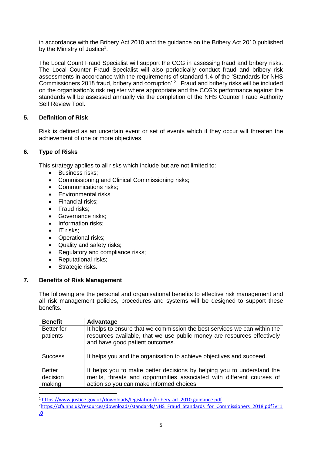in accordance with the Bribery Act 2010 and the guidance on the Bribery Act 2010 published by the Ministry of Justice<sup>1</sup>.

The Local Count Fraud Specialist will support the CCG in assessing fraud and bribery risks. The Local Counter Fraud Specialist will also periodically conduct fraud and bribery risk assessments in accordance with the requirements of standard 1.4 of the 'Standards for NHS Commissioners 2018 fraud, bribery and corruption'.<sup>2</sup> Fraud and bribery risks will be included on the organisation's risk register where appropriate and the CCG's performance against the standards will be assessed annually via the completion of the NHS Counter Fraud Authority Self Review Tool.

## **5. Definition of Risk**

Risk is defined as an uncertain event or set of events which if they occur will threaten the achievement of one or more objectives.

## **6. Type of Risks**

This strategy applies to all risks which include but are not limited to:

- **Business risks:**
- Commissioning and Clinical Commissioning risks;
- Communications risks:
- Fnvironmental risks
- Financial risks;
- Fraud risks;
- Governance risks:
- Information risks:
- $\bullet$  IT risks:
- Operational risks;
- Quality and safety risks;
- Regulatory and compliance risks;
- Reputational risks;
- Strategic risks.

## **7. Benefits of Risk Management**

**.** 

The following are the personal and organisational benefits to effective risk management and all risk management policies, procedures and systems will be designed to support these benefits.

| <b>Benefit</b>                | Advantage                                                                                                                                                                               |
|-------------------------------|-----------------------------------------------------------------------------------------------------------------------------------------------------------------------------------------|
| <b>Better</b> for<br>patients | It helps to ensure that we commission the best services we can within the<br>resources available, that we use public money are resources effectively<br>and have good patient outcomes. |
| <b>Success</b>                | It helps you and the organisation to achieve objectives and succeed.                                                                                                                    |
| <b>Better</b>                 | It helps you to make better decisions by helping you to understand the                                                                                                                  |
| decision                      | merits, threats and opportunities associated with different courses of                                                                                                                  |
| making                        | action so you can make informed choices.                                                                                                                                                |

<sup>1</sup> <https://www.justice.gov.uk/downloads/legislation/bribery-act-2010-guidance.pdf>

<sup>&</sup>lt;sup>2</sup>[https://cfa.nhs.uk/resources/downloads/standards/NHS\\_Fraud\\_Standards\\_for\\_Commissioners\\_2018.pdf?v=1](https://cfa.nhs.uk/resources/downloads/standards/NHS_Fraud_Standards_for_Commissioners_2018.pdf?v=1.0) [.0](https://cfa.nhs.uk/resources/downloads/standards/NHS_Fraud_Standards_for_Commissioners_2018.pdf?v=1.0)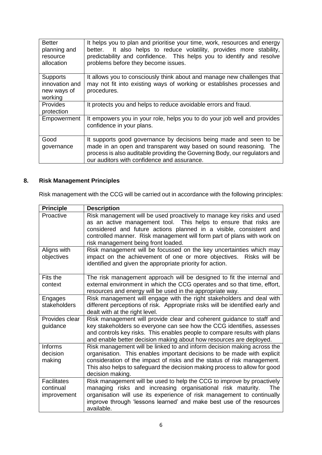| <b>Better</b><br>planning and<br>resource<br>allocation     | It helps you to plan and prioritise your time, work, resources and energy<br>It also helps to reduce volatility, provides more stability,<br>better.<br>predictability and confidence. This helps you to identify and resolve<br>problems before they become issues. |
|-------------------------------------------------------------|----------------------------------------------------------------------------------------------------------------------------------------------------------------------------------------------------------------------------------------------------------------------|
| <b>Supports</b><br>innovation and<br>new ways of<br>working | It allows you to consciously think about and manage new challenges that<br>may not fit into existing ways of working or establishes processes and<br>procedures.                                                                                                     |
| <b>Provides</b><br>protection                               | It protects you and helps to reduce avoidable errors and fraud.                                                                                                                                                                                                      |
| Empowerment                                                 | It empowers you in your role, helps you to do your job well and provides<br>confidence in your plans.                                                                                                                                                                |
| Good<br>governance                                          | It supports good governance by decisions being made and seen to be<br>made in an open and transparent way based on sound reasoning. The<br>process is also auditable providing the Governing Body, our regulators and<br>our auditors with confidence and assurance. |

## **8. Risk Management Principles**

Risk management with the CCG will be carried out in accordance with the following principles:

| <b>Principle</b>                               | <b>Description</b>                                                                                                                                                                                                                                                                                                                 |
|------------------------------------------------|------------------------------------------------------------------------------------------------------------------------------------------------------------------------------------------------------------------------------------------------------------------------------------------------------------------------------------|
| Proactive                                      | Risk management will be used proactively to manage key risks and used<br>as an active management tool. This helps to ensure that risks are<br>considered and future actions planned in a visible, consistent and<br>controlled manner. Risk management will form part of plans with work on<br>risk management being front loaded. |
| Aligns with<br>objectives                      | Risk management will be focussed on the key uncertainties which may<br>impact on the achievement of one or more objectives. Risks will be<br>identified and given the appropriate priority for action.                                                                                                                             |
| Fits the<br>context                            | The risk management approach will be designed to fit the internal and<br>external environment in which the CCG operates and so that time, effort,<br>resources and energy will be used in the appropriate way.                                                                                                                     |
| Engages<br>stakeholders                        | Risk management will engage with the right stakeholders and deal with<br>different perceptions of risk. Appropriate risks will be identified early and<br>dealt with at the right level.                                                                                                                                           |
| Provides clear<br>guidance                     | Risk management will provide clear and coherent guidance to staff and<br>key stakeholders so everyone can see how the CCG identifies, assesses<br>and controls key risks. This enables people to compare results with plans<br>and enable better decision making about how resources are deployed.                                 |
| <b>Informs</b><br>decision<br>making           | Risk management will be linked to and inform decision making across the<br>organisation. This enables important decisions to be made with explicit<br>consideration of the impact of risks and the status of risk management.<br>This also helps to safeguard the decision making process to allow for good<br>decision making.    |
| <b>Facilitates</b><br>continual<br>improvement | Risk management will be used to help the CCG to improve by proactively<br>managing risks and increasing organisational risk maturity.<br>The<br>organisation will use its experience of risk management to continually<br>improve through 'lessons learned' and make best use of the resources<br>available.                       |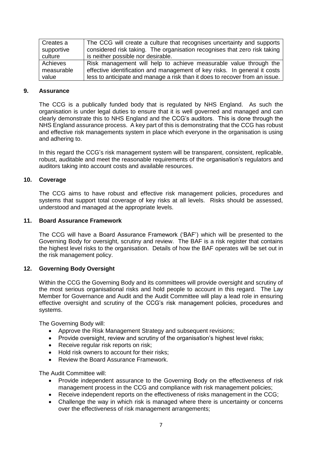| Creates a  | The CCG will create a culture that recognises uncertainty and supports      |
|------------|-----------------------------------------------------------------------------|
| supportive | considered risk taking. The organisation recognises that zero risk taking   |
| culture    | is neither possible nor desirable.                                          |
| Achieves   | Risk management will help to achieve measurable value through the           |
| measurable | effective identification and management of key risks. In general it costs   |
| value      | less to anticipate and manage a risk than it does to recover from an issue. |

#### **9. Assurance**

The CCG is a publically funded body that is regulated by NHS England. As such the organisation is under legal duties to ensure that it is well governed and managed and can clearly demonstrate this to NHS England and the CCG's auditors. This is done through the NHS England assurance process. A key part of this is demonstrating that the CCG has robust and effective risk managements system in place which everyone in the organisation is using and adhering to.

In this regard the CCG's risk management system will be transparent, consistent, replicable, robust, auditable and meet the reasonable requirements of the organisation's regulators and auditors taking into account costs and available resources.

## **10. Coverage**

The CCG aims to have robust and effective risk management policies, procedures and systems that support total coverage of key risks at all levels. Risks should be assessed, understood and managed at the appropriate levels.

#### **11. Board Assurance Framework**

The CCG will have a Board Assurance Framework ('BAF') which will be presented to the Governing Body for oversight, scrutiny and review. The BAF is a risk register that contains the highest level risks to the organisation. Details of how the BAF operates will be set out in the risk management policy.

## **12. Governing Body Oversight**

Within the CCG the Governing Body and its committees will provide oversight and scrutiny of the most serious organisational risks and hold people to account in this regard. The Lay Member for Governance and Audit and the Audit Committee will play a lead role in ensuring effective oversight and scrutiny of the CCG's risk management policies, procedures and systems.

The Governing Body will:

- Approve the Risk Management Strategy and subsequent revisions;
- Provide oversight, review and scrutiny of the organisation's highest level risks;
- Receive regular risk reports on risk;
- Hold risk owners to account for their risks:
- Review the Board Assurance Framework.

The Audit Committee will:

- Provide independent assurance to the Governing Body on the effectiveness of risk management process in the CCG and compliance with risk management policies;
- Receive independent reports on the effectiveness of risks management in the CCG;
- Challenge the way in which risk is managed where there is uncertainty or concerns over the effectiveness of risk management arrangements;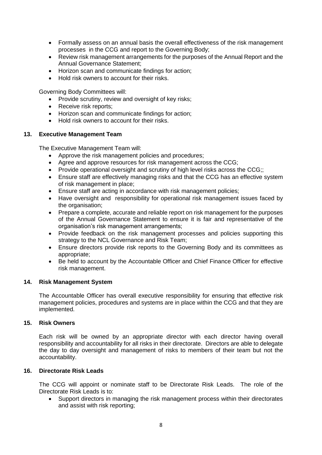- Formally assess on an annual basis the overall effectiveness of the risk management processes in the CCG and report to the Governing Body;
- Review risk management arrangements for the purposes of the Annual Report and the Annual Governance Statement;
- Horizon scan and communicate findings for action:
- Hold risk owners to account for their risks.

Governing Body Committees will:

- Provide scrutiny, review and oversight of key risks;
- Receive risk reports:
- Horizon scan and communicate findings for action;
- Hold risk owners to account for their risks.

#### **13. Executive Management Team**

The Executive Management Team will:

- Approve the risk management policies and procedures;
- Agree and approve resources for risk management across the CCG;
- Provide operational oversight and scrutiny of high level risks across the CCG::
- Ensure staff are effectively managing risks and that the CCG has an effective system of risk management in place;
- Ensure staff are acting in accordance with risk management policies;
- Have oversight and responsibility for operational risk management issues faced by the organisation;
- Prepare a complete, accurate and reliable report on risk management for the purposes of the Annual Governance Statement to ensure it is fair and representative of the organisation's risk management arrangements;
- Provide feedback on the risk management processes and policies supporting this strategy to the NCL Governance and Risk Team;
- Ensure directors provide risk reports to the Governing Body and its committees as appropriate;
- Be held to account by the Accountable Officer and Chief Finance Officer for effective risk management.

#### **14. Risk Management System**

The Accountable Officer has overall executive responsibility for ensuring that effective risk management policies, procedures and systems are in place within the CCG and that they are implemented.

## **15. Risk Owners**

Each risk will be owned by an appropriate director with each director having overall responsibility and accountability for all risks in their directorate. Directors are able to delegate the day to day oversight and management of risks to members of their team but not the accountability.

## **16. Directorate Risk Leads**

The CCG will appoint or nominate staff to be Directorate Risk Leads. The role of the Directorate Risk Leads is to:

 Support directors in managing the risk management process within their directorates and assist with risk reporting;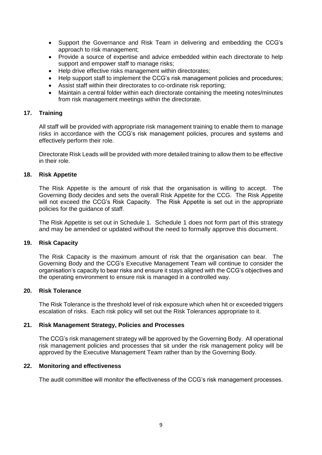- Support the Governance and Risk Team in delivering and embedding the CCG's approach to risk management;
- Provide a source of expertise and advice embedded within each directorate to help support and empower staff to manage risks;
- Help drive effective risks management within directorates:
- Help support staff to implement the CCG's risk management policies and procedures;
- Assist staff within their directorates to co-ordinate risk reporting;
- Maintain a central folder within each directorate containing the meeting notes/minutes from risk management meetings within the directorate.

#### **17. Training**

All staff will be provided with appropriate risk management training to enable them to manage risks in accordance with the CCG's risk management policies, procures and systems and effectively perform their role.

Directorate Risk Leads will be provided with more detailed training to allow them to be effective in their role.

#### **18. Risk Appetite**

The Risk Appetite is the amount of risk that the organisation is willing to accept. The Governing Body decides and sets the overall Risk Appetite for the CCG. The Risk Appetite will not exceed the CCG's Risk Capacity. The Risk Appetite is set out in the appropriate policies for the guidance of staff.

The Risk Appetite is set out in Schedule 1. Schedule 1 does not form part of this strategy and may be amended or updated without the need to formally approve this document.

#### **19. Risk Capacity**

The Risk Capacity is the maximum amount of risk that the organisation can bear. The Governing Body and the CCG's Executive Management Team will continue to consider the organisation's capacity to bear risks and ensure it stays aligned with the CCG's objectives and the operating environment to ensure risk is managed in a controlled way.

#### **20. Risk Tolerance**

The Risk Tolerance is the threshold level of risk exposure which when hit or exceeded triggers escalation of risks. Each risk policy will set out the Risk Tolerances appropriate to it.

#### **21. Risk Management Strategy, Policies and Processes**

The CCG's risk management strategy will be approved by the Governing Body. All operational risk management policies and processes that sit under the risk management policy will be approved by the Executive Management Team rather than by the Governing Body.

#### **22. Monitoring and effectiveness**

The audit committee will monitor the effectiveness of the CCG's risk management processes.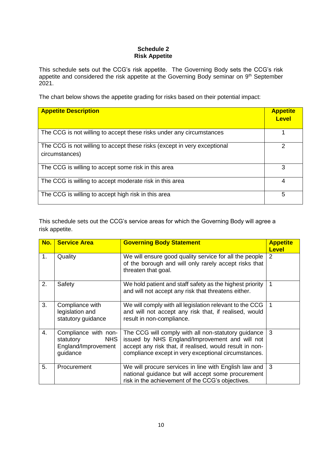### **Schedule 2 Risk Appetite**

This schedule sets out the CCG's risk appetite. The Governing Body sets the CCG's risk appetite and considered the risk appetite at the Governing Body seminar on  $9<sup>th</sup>$  September 2021.

The chart below shows the appetite grading for risks based on their potential impact:

| <b>Appetite Description</b>                                                                | <b>Appetite</b><br><b>Level</b> |
|--------------------------------------------------------------------------------------------|---------------------------------|
| The CCG is not willing to accept these risks under any circumstances                       |                                 |
| The CCG is not willing to accept these risks (except in very exceptional<br>circumstances) |                                 |
| The CCG is willing to accept some risk in this area                                        | 3                               |
| The CCG is willing to accept moderate risk in this area                                    | 4                               |
| The CCG is willing to accept high risk in this area                                        | 5                               |

This schedule sets out the CCG's service areas for which the Governing Body will agree a risk appetite.

| No. | <b>Service Area</b>                                                                | <b>Governing Body Statement</b>                                                                                                                                                                                          | <b>Appetite</b><br><b>Level</b> |
|-----|------------------------------------------------------------------------------------|--------------------------------------------------------------------------------------------------------------------------------------------------------------------------------------------------------------------------|---------------------------------|
| 1.  | Quality                                                                            | We will ensure good quality service for all the people<br>of the borough and will only rarely accept risks that<br>threaten that goal.                                                                                   | 2                               |
| 2.  | Safety                                                                             | We hold patient and staff safety as the highest priority<br>and will not accept any risk that threatens either.                                                                                                          | 1                               |
| 3.  | Compliance with<br>legislation and<br>statutory guidance                           | We will comply with all legislation relevant to the CCG<br>and will not accept any risk that, if realised, would<br>result in non-compliance.                                                                            | -1                              |
| 4.  | Compliance with non-<br><b>NHS</b><br>statutory<br>England/Improvement<br>guidance | The CCG will comply with all non-statutory guidance<br>issued by NHS England/Improvement and will not<br>accept any risk that, if realised, would result in non-<br>compliance except in very exceptional circumstances. | 3                               |
| 5.  | Procurement                                                                        | We will procure services in line with English law and<br>national guidance but will accept some procurement<br>risk in the achievement of the CCG's objectives.                                                          | 3                               |